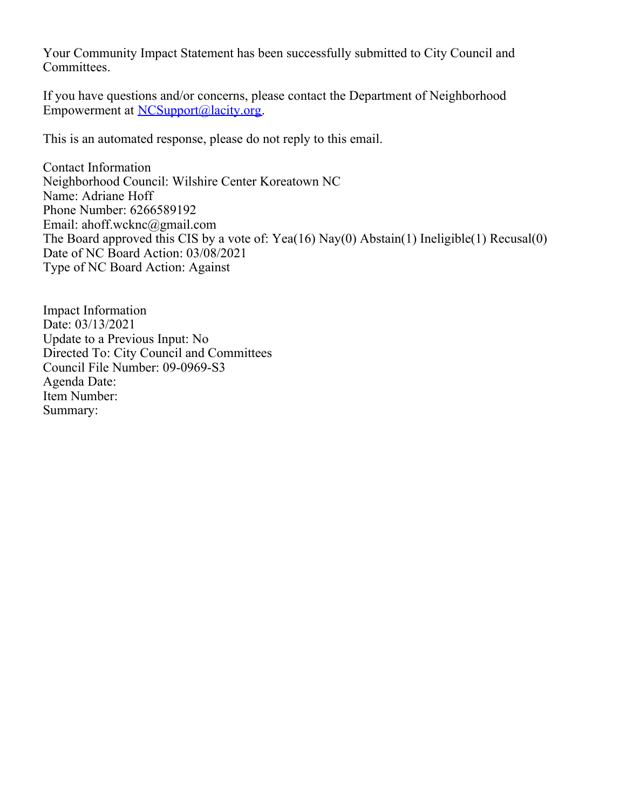Your Community Impact Statement has been successfully submitted to City Council and Committees.

If you have questions and/or concerns, please contact the Department of Neighborhood Empowerment at [NCSupport@lacity.org](mailto:NCSupport@lacity.org).

This is an automated response, please do not reply to this email.

Contact Information Neighborhood Council: Wilshire Center Koreatown NC Name: Adriane Hoff Phone Number: 6266589192 Email: ahoff.wcknc@gmail.com The Board approved this CIS by a vote of: Yea(16) Nay(0) Abstain(1) Ineligible(1) Recusal(0) Date of NC Board Action: 03/08/2021 Type of NC Board Action: Against

Impact Information Date: 03/13/2021 Update to a Previous Input: No Directed To: City Council and Committees Council File Number: 09-0969-S3 Agenda Date: Item Number: Summary: